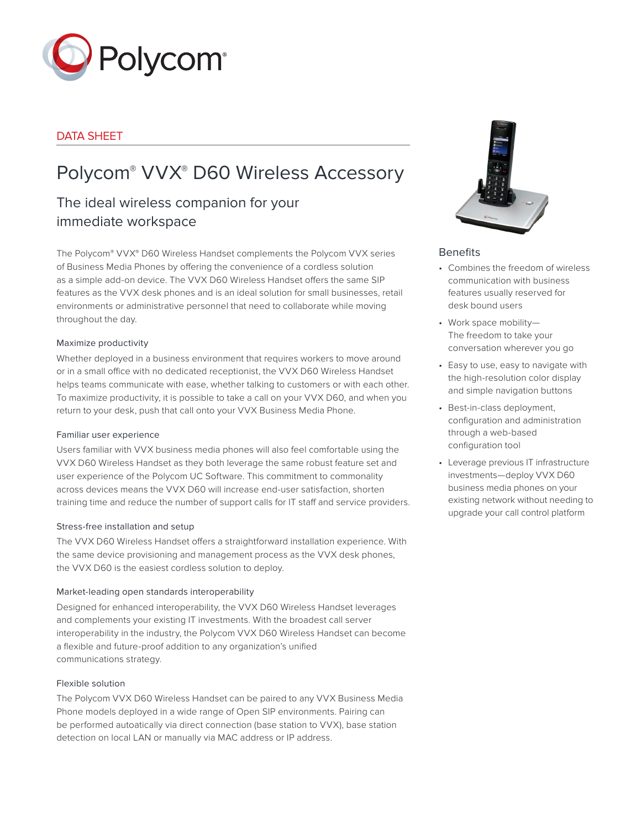

# DATA SHEET

# Polycom® VVX® D60 Wireless Accessory

# The ideal wireless companion for your immediate workspace

The Polycom® VVX® D60 Wireless Handset complements the Polycom VVX series of Business Media Phones by offering the convenience of a cordless solution as a simple add-on device. The VVX D60 Wireless Handset offers the same SIP features as the VVX desk phones and is an ideal solution for small businesses, retail environments or administrative personnel that need to collaborate while moving throughout the day.

#### Maximize productivity

Whether deployed in a business environment that requires workers to move around or in a small office with no dedicated receptionist, the VVX D60 Wireless Handset helps teams communicate with ease, whether talking to customers or with each other. To maximize productivity, it is possible to take a call on your VVX D60, and when you return to your desk, push that call onto your VVX Business Media Phone.

#### Familiar user experience

Users familiar with VVX business media phones will also feel comfortable using the VVX D60 Wireless Handset as they both leverage the same robust feature set and user experience of the Polycom UC Software. This commitment to commonality across devices means the VVX D60 will increase end-user satisfaction, shorten training time and reduce the number of support calls for IT staff and service providers.

#### Stress-free installation and setup

The VVX D60 Wireless Handset offers a straightforward installation experience. With the same device provisioning and management process as the VVX desk phones, the VVX D60 is the easiest cordless solution to deploy.

#### Market-leading open standards interoperability

Designed for enhanced interoperability, the VVX D60 Wireless Handset leverages and complements your existing IT investments. With the broadest call server interoperability in the industry, the Polycom VVX D60 Wireless Handset can become a flexible and future-proof addition to any organization's unified communications strategy.

#### Flexible solution

The Polycom VVX D60 Wireless Handset can be paired to any VVX Business Media Phone models deployed in a wide range of Open SIP environments. Pairing can be performed autoatically via direct connection (base station to VVX), base station detection on local LAN or manually via MAC address or IP address.



#### **Benefits**

- Combines the freedom of wireless communication with business features usually reserved for desk bound users
- Work space mobility— The freedom to take your conversation wherever you go
- Easy to use, easy to navigate with the high-resolution color display and simple navigation buttons
- Best-in-class deployment, configuration and administration through a web-based configuration tool
- Leverage previous IT infrastructure investments—deploy VVX D60 business media phones on your existing network without needing to upgrade your call control platform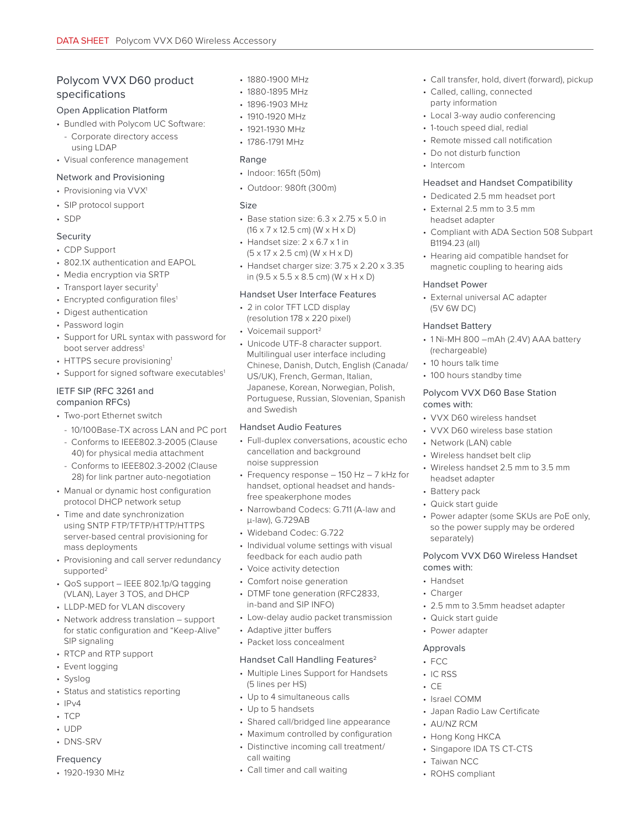## Polycom VVX D60 product specifications

#### Open Application Platform

- Bundled with Polycom UC Software:
- Corporate directory access using LDAP
- Visual conference management

#### Network and Provisioning

- Provisioning via VVX<sup>1</sup>
- SIP protocol support
- SDP

# Security

- CDP Support
- 802.1X authentication and EAPOL
- Media encryption via SRTP
- Transport layer security<sup>1</sup>
- Encrypted configuration files<sup>1</sup>
- Digest authentication
- Password login
- Support for URL syntax with password for boot server address<sup>1</sup>
- HTTPS secure provisioning<sup>1</sup>
- Support for signed software executables<sup>1</sup>

#### IETF SIP (RFC 3261 and companion RFCs)

- Two-port Ethernet switch
- 10/100Base-TX across LAN and PC port
- Conforms to IEEE802.3-2005 (Clause 40) for physical media attachment
- Conforms to IEEE802.3-2002 (Clause 28) for link partner auto-negotiation
- Manual or dynamic host configuration protocol DHCP network setup
- Time and date synchronization using SNTP FTP/TFTP/HTTP/HTTPS server-based central provisioning for mass deployments
- Provisioning and call server redundancy supported<sup>2</sup>
- QoS support IEEE 802.1p/Q tagging (VLAN), Layer 3 TOS, and DHCP
- LLDP-MED for VLAN discovery
- Network address translation support for static configuration and "Keep-Alive" SIP signaling
- RTCP and RTP support
- Event logging
- Syslog
- Status and statistics reporting
- $\cdot$  IPv4
- TCP
- UDP
- DNS-SRV

#### Frequency

• 1920-1930 MHz

- 1880-1900 MHz
- 1880-1895 MHz
- 1896-1903 MHz
- 1910-1920 MHz
- 1921-1930 MHz
- 1786-1791 MHz

#### Range

- Indoor: 165ft (50m)
- Outdoor: 980ft (300m)

#### Size

- Base station size: 6.3 x 2.75 x 5.0 in (16 x 7 x 12.5 cm) (W x H x D)
- Handset size: 2 x 6.7 x 1 in  $(5 \times 17 \times 2.5$  cm) (W  $\times$  H  $\times$  D)
- Handset charger size: 3.75 x 2.20 x 3.35 in (9.5 x 5.5 x 8.5 cm) (W x H x D)

#### Handset User Interface Features

- 2 in color TFT LCD display (resolution 178 x 220 pixel)
- Voicemail support<sup>2</sup>
- Unicode UTF-8 character support. Multilingual user interface including Chinese, Danish, Dutch, English (Canada/ US/UK), French, German, Italian, Japanese, Korean, Norwegian, Polish, Portuguese, Russian, Slovenian, Spanish and Swedish

#### Handset Audio Features

- Full-duplex conversations, acoustic echo cancellation and background noise suppression
- Frequency response 150 Hz 7 kHz for handset, optional headset and handsfree speakerphone modes
- Narrowband Codecs: G.711 (A-law and μ-law), G.729AB
- Wideband Codec: G.722
- Individual volume settings with visual feedback for each audio path
- Voice activity detection
- Comfort noise generation
- DTMF tone generation (RFC2833, in-band and SIP INFO)
- Low-delay audio packet transmission
- Adaptive jitter buffers
- Packet loss concealment

#### Handset Call Handling Features<sup>2</sup>

- Multiple Lines Support for Handsets (5 lines per HS)
- Up to 4 simultaneous calls
- Up to 5 handsets
- Shared call/bridged line appearance
- Maximum controlled by configuration
- Distinctive incoming call treatment/ call waiting
- Call timer and call waiting
- Call transfer, hold, divert (forward), pickup
- Called, calling, connected party information
- Local 3-way audio conferencing
- 1-touch speed dial, redial
- Remote missed call notification
- Do not disturb function
- Intercom

#### Headset and Handset Compatibility

- Dedicated 2.5 mm headset port
- External 2.5 mm to 3.5 mm headset adapter
- Compliant with ADA Section 508 Subpart B1194.23 (all)
- Hearing aid compatible handset for magnetic coupling to hearing aids

#### Handset Power

• External universal AC adapter (5V 6W DC)

#### Handset Battery

- 1 Ni-MH 800 –mAh (2.4V) AAA battery (rechargeable)
- 10 hours talk time
- 100 hours standby time

#### Polycom VVX D60 Base Station comes with:

• VVX D60 wireless handset

• Wireless handset belt clip

headset adapter • Battery pack • Quick start guide

separately)

comes with: • Handset • Charger

Approvals • FCC • IC RSS  $\cdot$  CE

• Israel COMM

• AU/NZ RCM • Hong Kong HKCA • Singapore IDA TS CT-CTS

• Taiwan NCC • ROHS compliant

• Japan Radio Law Certificate

• Quick start guide • Power adapter

• VVX D60 wireless base station • Network (LAN) cable

• Wireless handset 2.5 mm to 3.5 mm

• Power adapter (some SKUs are PoE only, so the power supply may be ordered

Polycom VVX D60 Wireless Handset

• 2.5 mm to 3.5mm headset adapter